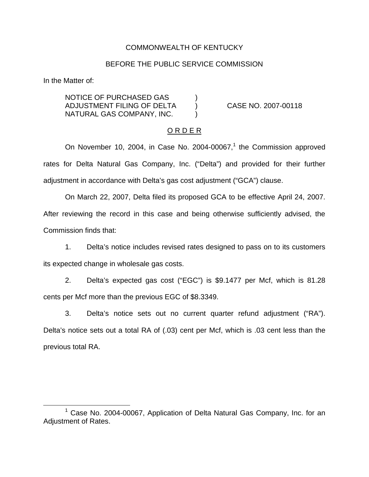### COMMONWEALTH OF KENTUCKY

### BEFORE THE PUBLIC SERVICE COMMISSION

In the Matter of:

NOTICE OF PURCHASED GAS ) ADJUSTMENT FILING OF DELTA ) CASE NO. 2007-00118 NATURAL GAS COMPANY, INC. )

#### O R D E R

On November 10, 2004, in Case No. 2004-00067, $<sup>1</sup>$  the Commission approved</sup> rates for Delta Natural Gas Company, Inc. ("Delta") and provided for their further adjustment in accordance with Delta's gas cost adjustment ("GCA") clause.

On March 22, 2007, Delta filed its proposed GCA to be effective April 24, 2007. After reviewing the record in this case and being otherwise sufficiently advised, the Commission finds that:

1. Delta's notice includes revised rates designed to pass on to its customers its expected change in wholesale gas costs.

2. Delta's expected gas cost ("EGC") is \$9.1477 per Mcf, which is 81.28 cents per Mcf more than the previous EGC of \$8.3349.

3. Delta's notice sets out no current quarter refund adjustment ("RA"). Delta's notice sets out a total RA of (.03) cent per Mcf, which is .03 cent less than the previous total RA.

<sup>1</sup> Case No. 2004-00067, Application of Delta Natural Gas Company, Inc. for an Adjustment of Rates.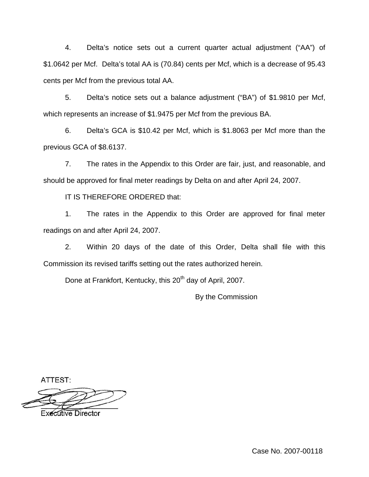4. Delta's notice sets out a current quarter actual adjustment ("AA") of \$1.0642 per Mcf. Delta's total AA is (70.84) cents per Mcf, which is a decrease of 95.43 cents per Mcf from the previous total AA.

5. Delta's notice sets out a balance adjustment ("BA") of \$1.9810 per Mcf, which represents an increase of \$1.9475 per Mcf from the previous BA.

6. Delta's GCA is \$10.42 per Mcf, which is \$1.8063 per Mcf more than the previous GCA of \$8.6137.

7. The rates in the Appendix to this Order are fair, just, and reasonable, and should be approved for final meter readings by Delta on and after April 24, 2007.

IT IS THEREFORE ORDERED that:

1. The rates in the Appendix to this Order are approved for final meter readings on and after April 24, 2007.

2. Within 20 days of the date of this Order, Delta shall file with this Commission its revised tariffs setting out the rates authorized herein.

Done at Frankfort, Kentucky, this 20<sup>th</sup> day of April, 2007.

By the Commission

ATTEST:

**Executive Director**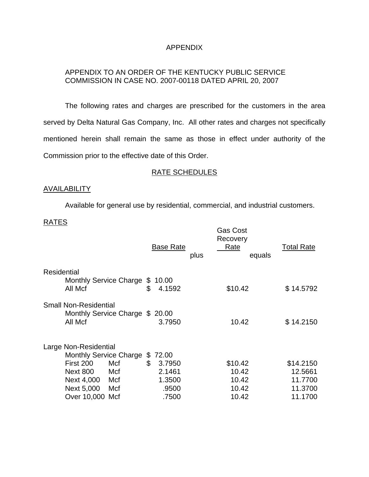# APPENDIX

# APPENDIX TO AN ORDER OF THE KENTUCKY PUBLIC SERVICE COMMISSION IN CASE NO. 2007-00118 DATED APRIL 20, 2007

The following rates and charges are prescribed for the customers in the area served by Delta Natural Gas Company, Inc. All other rates and charges not specifically mentioned herein shall remain the same as those in effect under authority of the Commission prior to the effective date of this Order.

### RATE SCHEDULES

## AVAILABILITY

Available for general use by residential, commercial, and industrial customers.

## RATES

|                                                                                                                                                                   | <b>Base Rate</b><br>plus                                          | Gas Cost<br>Recovery<br>Rate<br>equals      | <b>Total Rate</b>                                     |
|-------------------------------------------------------------------------------------------------------------------------------------------------------------------|-------------------------------------------------------------------|---------------------------------------------|-------------------------------------------------------|
| <b>Residential</b><br>Monthly Service Charge<br>All Mcf                                                                                                           | \$10.00<br>\$<br>4.1592                                           | \$10.42                                     | \$14.5792                                             |
| <b>Small Non-Residential</b><br>Monthly Service Charge \$ 20.00<br>All Mcf                                                                                        | 3.7950                                                            | 10.42                                       | \$14.2150                                             |
| Large Non-Residential<br><b>Monthly Service Charge</b><br>First 200<br>Mcf<br><b>Next 800</b><br>Mcf<br>Next 4,000<br>Mcf<br>Next 5,000<br>Mcf<br>Over 10,000 Mcf | 72.00<br>\$<br>\$<br>3.7950<br>2.1461<br>1.3500<br>.9500<br>.7500 | \$10.42<br>10.42<br>10.42<br>10.42<br>10.42 | \$14.2150<br>12.5661<br>11.7700<br>11.3700<br>11.1700 |